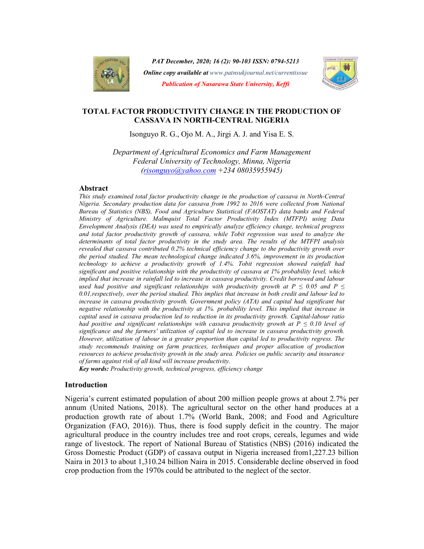

PAT December, 2020; 16 (2): 90-103 ISSN: 0794-5213 Online copy available at www.patnsukjournal.net/currentissue Publication of Nasarawa State University, Keffi



# TOTAL FACTOR PRODUCTIVITY CHANGE IN THE PRODUCTION OF CASSAVA IN NORTH-CENTRAL NIGERIA

Isonguyo R. G., Ojo M. A., Jirgi A. J. and Yisa E. S.

Department of Agricultural Economics and Farm Management Federal University of Technology, Minna, Nigeria (risonguyo@yahoo.com +234 08035955945)

### Abstract

This study examined total factor productivity change in the production of cassava in North-Central Nigeria. Secondary production data for cassava from 1992 to 2016 were collected from National Bureau of Statistics (NBS), Food and Agriculture Statistical (FAOSTAT) data banks and Federal Ministry of Agriculture. Malmquist Total Factor Productivity Index (MTFPI) using Data Envelopment Analysis (DEA) was used to empirically analyze efficiency change, technical progress and total factor productivity growth of cassava, while Tobit regression was used to analyze the determinants of total factor productivity in the study area. The results of the MTFPI analysis revealed that cassava contributed 0.2% technical efficiency change to the productivity growth over the period studied. The mean technological change indicated 3.6%, improvement in its production technology to achieve a productivity growth of 1.4%. Tobit regression showed rainfall had significant and positive relationship with the productivity of cassava at 1% probability level, which implied that increase in rainfall led to increase in cassava productivity. Credit borrowed and labour used had positive and significant relationships with productivity growth at  $P \le 0.05$  and  $P \le$ 0.01,respectively, over the period studied. This implies that increase in both credit and labour led to increase in cassava productivity growth. Government policy (ATA) and capital had significant but negative relationship with the productivity at 1%. probability level. This implied that increase in capital used in cassava production led to reduction in its productivity growth. Capital-labour ratio had positive and significant relationships with cassava productivity growth at  $P \le 0.10$  level of significance and the farmers' utilization of capital led to increase in cassava productivity growth. However, utilization of labour in a greater proportion than capital led to productivity regress. The study recommends training on farm practices, techniques and proper allocation of production resources to achieve productivity growth in the study area. Policies on public security and insurance of farms against risk of all kind will increase productivity.

Key words: Productivity growth, technical progress, efficiency change

### Introduction

Nigeria's current estimated population of about 200 million people grows at about 2.7% per annum (United Nations, 2018). The agricultural sector on the other hand produces at a production growth rate of about 1.7% (World Bank, 2008; and Food and Agriculture Organization (FAO, 2016)). Thus, there is food supply deficit in the country. The major agricultural produce in the country includes tree and root crops, cereals, legumes and wide range of livestock. The report of National Bureau of Statistics (NBS) (2016) indicated the Gross Domestic Product (GDP) of cassava output in Nigeria increased from1,227.23 billion Naira in 2013 to about 1,310.24 billion Naira in 2015. Considerable decline observed in food crop production from the 1970s could be attributed to the neglect of the sector.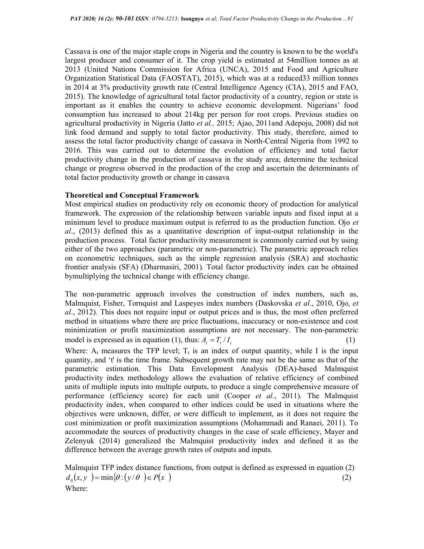Cassava is one of the major staple crops in Nigeria and the country is known to be the world's largest producer and consumer of it. The crop yield is estimated at 54million tonnes as at 2013 (United Nations Commission for Africa (UNCA), 2015 and Food and Agriculture Organization Statistical Data (FAOSTAT), 2015), which was at a reduced33 million tonnes in 2014 at 3% productivity growth rate (Central Intelligence Agency (CIA), 2015 and FAO, 2015). The knowledge of agricultural total factor productivity of a country, region or state is important as it enables the country to achieve economic development. Nigerians' food consumption has increased to about 214kg per person for root crops. Previous studies on agricultural productivity in Nigeria (Jatto *et al.*, 2015; Ajao, 2011and Adepoju, 2008) did not link food demand and supply to total factor productivity. This study, therefore, aimed to assess the total factor productivity change of cassava in North-Central Nigeria from 1992 to 2016. This was carried out to determine the evolution of efficiency and total factor productivity change in the production of cassava in the study area; determine the technical change or progress observed in the production of the crop and ascertain the determinants of total factor productivity growth or change in cassava

### Theoretical and Conceptual Framework

Most empirical studies on productivity rely on economic theory of production for analytical framework. The expression of the relationship between variable inputs and fixed input at a minimum level to produce maximum output is referred to as the production function. Ojo et  $al., (2013)$  defined this as a quantitative description of input-output relationship in the production process. Total factor productivity measurement is commonly carried out by using either of the two approaches (parametric or non-parametric). The parametric approach relies on econometric techniques, such as the simple regression analysis (SRA) and stochastic frontier analysis (SFA) (Dharmasiri, 2001). Total factor productivity index can be obtained bymultiplying the technical change with efficiency change.

The non-parametric approach involves the construction of index numbers, such as, Malmquist, Fisher, Tornquist and Laspeyes index numbers (Daskovska *et al.*, 2010, Ojo, *et* al., 2012). This does not require input or output prices and is thus, the most often preferred method in situations where there are price fluctuations, inaccuracy or non-existence and cost minimization or profit maximization assumptions are not necessary. The non-parametric model is expressed as in equation (1), thus:  $A_t = T_t / I_t$  (1)

Where:  $A_t$  measures the TFP level;  $T_t$  is an index of output quantity, while I is the input quantity, and 't' is the time frame. Subsequent growth rate may not be the same as that of the parametric estimation. This Data Envelopment Analysis (DEA)-based Malmquist productivity index methodology allows the evaluation of relative efficiency of combined units of multiple inputs into multiple outputs, to produce a single comprehensive measure of performance (efficiency score) for each unit (Cooper  $et$  al., 2011). The Malmquist productivity index, when compared to other indices could be used in situations where the objectives were unknown, differ, or were difficult to implement, as it does not require the cost minimization or profit maximization assumptions (Mohammadi and Ranaei, 2011). To accommodate the sources of productivity changes in the case of scale efficiency, Mayer and Zelenyuk (2014) generalized the Malmquist productivity index and defined it as the difference between the average growth rates of outputs and inputs.

Malmquist TFP index distance functions, from output is defined as expressed in equation (2)  $d_0(x, y) = min{\theta : (y/\theta) \in P(x)}$  $(2)$ Where: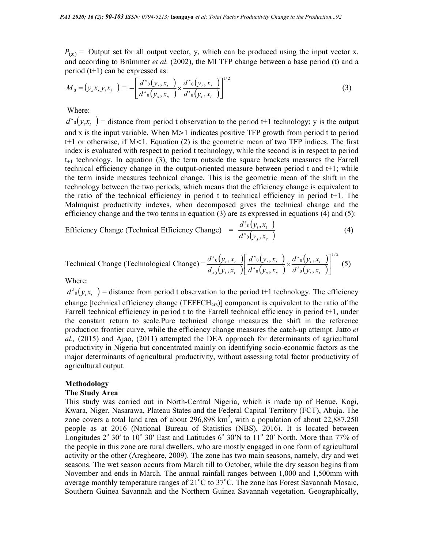$P(x)$  = Output set for all output vector, y, which can be produced using the input vector x. and according to Brümmer et al. (2002), the MI TFP change between a base period (t) and a period (t+1) can be expressed as: 3 ISSN: 0794-5213; Isonguyo *et al*: Total Factor Productivity Change in the Production...92<br>
t for all output vector, y, which can be produced using the input vector x.<br>
Brümmer *et al.* (2002), the MI TFP change between 24-5213; Isonguyo *et al: Total Factor Productivity Change in the Production...92*<br>
utput vector, y, which can be produced using the input vector x.<br> *et al.* (2002), the MI TFP change between a base period (t) and a<br>
d a *et al; Total Factor Productivity Change in the Production...92*<br>
y, which can be produced using the input vector x.<br>
the MI TFP change between a base period (t) and a<br>  $(y_t, x_t)$   $(y_t, x_t)$  (3)<br>
(3) *et al; Total Factor Productivity Change in the Production...92*<br>
y, which can be produced using the input vector x.<br>
the MI TFP change between a base period (t) and a<br>  $(y_t, x_t)$ <br>  $(y_t, x_t)$  (3)<br>
<br>
<br>
<br>
<br>
<br>
<br>
<br>
<br>
<br>
<br>
<br>
<br>
<br>
<br>

$$
M_0 = (y_s x_s y_t x_t) = -\left[\frac{d^{s_0}(y_t, x_t)}{d^{s_0}(y_s, x_s)} \times \frac{d^{s_0}(y_t, x_t)}{d^{s_0}(y_t, x_t)}\right]^{1/2}
$$
(3)

Where:

 $d^{s}_0(y_i x_i)$  = distance from period t observation to the period t+1 technology; y is the output and x is the input variable. When M>1 indicates positive TFP growth from period t to period t+1 or otherwise, if M<1. Equation (2) is the geometric mean of two TFP indices. The first index is evaluated with respect to period t technology, while the second is in respect to period  $t_{+1}$  technology. In equation (3), the term outside the square brackets measures the Farrell technical efficiency change in the output-oriented measure between period t and t+1; while the term inside measures technical change. This is the geometric mean of the shift in the technology between the two periods, which means that the efficiency change is equivalent to the ratio of the technical efficiency in period t to technical efficiency in period t+1. The Malmquist productivity indexes, when decomposed gives the technical change and the efficiency change and the two terms in equation (3) are as expressed in equations (4) and (5): (3)<br>
(3)<br>
to the period t+1 technology; y is the output<br>
positive TFP growth from period to period<br>
cometric mean of two TFP indices. The first<br>
clogy, while the second is in respect to period<br>
le the square brackets meas (3)<br>
(3)<br>
t+1 technology; y is the output<br>
growth from period t to period<br>
n of two TFP indices. The first<br>
ne second is in respect to period<br>
brackets measures the Farrell<br>
etween period t and t+1; while<br>
fliciency chang (3)<br>
t+1 technology; y is the output<br>
2 growth from period t to period<br>
n of two TFP indices. The first<br>
the second is in respect to period<br>
throught to period<br>
the second is and the second that the metric mean of the shi (3)<br>
(3)<br>
gy; y is the output<br>
period t to period<br>
indices. The first<br>
respect to period<br>
saures the Farrell<br>
1 t and t+1; while<br>
of the shift in the<br>
ge is equivalent to<br>
period t+1. The<br>
change and the<br>
tions (4) and (5 (3)<br>
gy; y is the output<br>
period t to period<br>
indices. The first<br>
respect to period<br>
asures the Farrell<br>
1 t and t+1; while<br>
of the shift in the<br>
ge is equivalent to<br>
period t+1. The<br>
change and the<br>
tions (4) and (5):<br>
(

Efficiency Change (Technical Efficiency Change) 
$$
= \frac{d^{s_0}(y_t, x_t)}{d^{s_0}(y_s, x_s)}
$$
 (4)

Technical Change (Technological Change) = 
$$
\frac{d^{s_0}(y_t, x_t)}{d_{s_0}(y_t, x_t)} \left[ \frac{d^{s_0}(y_t, x_t)}{d^{s_0}(y_s, x_s)} \times \frac{d^{s_0}(y_t, x_t)}{d^{s_0}(y_t, x_t)} \right]^{1/2}
$$
 (5)

Where:

 $d^{s} \circ (y_{i}, x_{i})$  = distance from period t observation to the period t+1 technology. The efficiency change [technical efficiency change  $(TEFCH_{crs})$ ] component is equivalent to the ratio of the Farrell technical efficiency in period t to the Farrell technical efficiency in period t+1, under the constant return to scale.Pure technical change measures the shift in the reference production frontier curve, while the efficiency change measures the catch-up attempt. Jatto et  $al.$ , (2015) and Ajao, (2011) attempted the DEA approach for determinants of agricultural productivity in Nigeria but concentrated mainly on identifying socio-economic factors as the major determinants of agricultural productivity, without assessing total factor productivity of agricultural output.

#### Methodology

#### The Study Area

This study was carried out in North-Central Nigeria, which is made up of Benue, Kogi, Kwara, Niger, Nasarawa, Plateau States and the Federal Capital Territory (FCT), Abuja. The zone covers a total land area of about 296,898 km<sup>2</sup>, with a population of about 22,887,250 people as at 2016 (National Bureau of Statistics (NBS), 2016). It is located between Longitudes  $2^{\circ}$  30' to  $10^{\circ}$  30' East and Latitudes 6 $^{\circ}$  30'N to  $11^{\circ}$  20' North. More than 77% of the people in this zone are rural dwellers, who are mostly engaged in one form of agricultural activity or the other (Aregheore, 2009). The zone has two main seasons, namely, dry and wet seasons. The wet season occurs from March till to October, while the dry season begins from November and ends in March. The annual rainfall ranges between 1,000 and 1,500mm with average monthly temperature ranges of  $21^{\circ}$ C to  $37^{\circ}$ C. The zone has Forest Savannah Mosaic, Southern Guinea Savannah and the Northern Guinea Savannah vegetation. Geographically,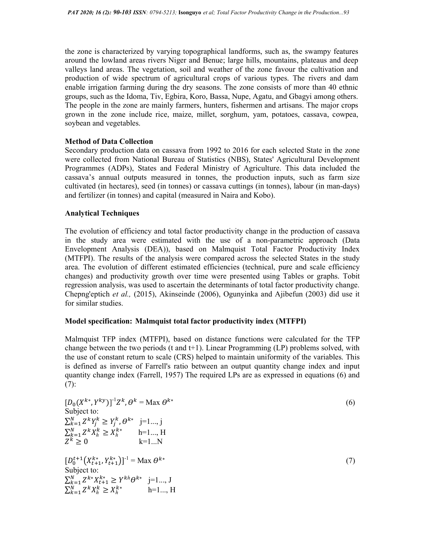the zone is characterized by varying topographical landforms, such as, the swampy features around the lowland areas rivers Niger and Benue; large hills, mountains, plateaus and deep valleys land areas. The vegetation, soil and weather of the zone favour the cultivation and production of wide spectrum of agricultural crops of various types. The rivers and dam enable irrigation farming during the dry seasons. The zone consists of more than 40 ethnic groups, such as the Idoma, Tiv, Egbira, Koro, Bassa, Nupe, Agatu, and Gbagyi among others. The people in the zone are mainly farmers, hunters, fishermen and artisans. The major crops grown in the zone include rice, maize, millet, sorghum, yam, potatoes, cassava, cowpea, soybean and vegetables.

### Method of Data Collection

Secondary production data on cassava from 1992 to 2016 for each selected State in the zone were collected from National Bureau of Statistics (NBS), States' Agricultural Development Programmes (ADPs), States and Federal Ministry of Agriculture. This data included the cassava's annual outputs measured in tonnes, the production inputs, such as farm size cultivated (in hectares), seed (in tonnes) or cassava cuttings (in tonnes), labour (in man-days) and fertilizer (in tonnes) and capital (measured in Naira and Kobo).

## Analytical Techniques

The evolution of efficiency and total factor productivity change in the production of cassava in the study area were estimated with the use of a non-parametric approach (Data Envelopment Analysis (DEA)), based on Malmquist Total Factor Productivity Index (MTFPI). The results of the analysis were compared across the selected States in the study area. The evolution of different estimated efficiencies (technical, pure and scale efficiency changes) and productivity growth over time were presented using Tables or graphs. Tobit regression analysis, was used to ascertain the determinants of total factor productivity change. Chepng'eptich et al., (2015), Akinseinde (2006), Ogunyinka and Ajibefun (2003) did use it for similar studies.

### Model specification: Malmquist total factor productivity index (MTFPI)

Malmquist TFP index (MTFPI), based on distance functions were calculated for the TFP change between the two periods (t and  $t+1$ ). Linear Programming (LP) problems solved, with the use of constant return to scale (CRS) helped to maintain uniformity of the variables. This is defined as inverse of Farrell's ratio between an output quantity change index and input quantity change index (Farrell, 1957) The required LPs are as expressed in equations (6) and  $(7):$ 

$$
[D_{0}(X^{k*}, Y^{ky})]^{-1}Z^{k}, \theta^{k} = \text{Max } \theta^{k*}
$$
  
\nSubject to:  
\n
$$
\sum_{k=1}^{N} Z^{k}Y_{j}^{k} \ge Y_{j}^{k}, \theta^{k*} \quad j=1..., j
$$
  
\n
$$
\sum_{k=1}^{N} Z^{k}X_{h}^{k} \ge X_{h}^{k*} \qquad h=1..., H
$$
  
\n
$$
Z^{k} \ge 0 \qquad k=1...N
$$
  
\n
$$
[D_{0}^{t+1}(X_{t+1}^{k*}, Y_{t+1}^{k*})]^{-1} = \text{Max } \theta^{k*}
$$
  
\nSubject to:  
\n
$$
\sum_{k=1}^{N} Z^{k*}X_{t+1}^{k*} \ge Y^{kh} \theta^{k*} \quad j=1..., J
$$
  
\n
$$
\sum_{k=1}^{N} Z^{k}X_{h}^{k} \ge X_{h}^{k*} \qquad h=1..., H
$$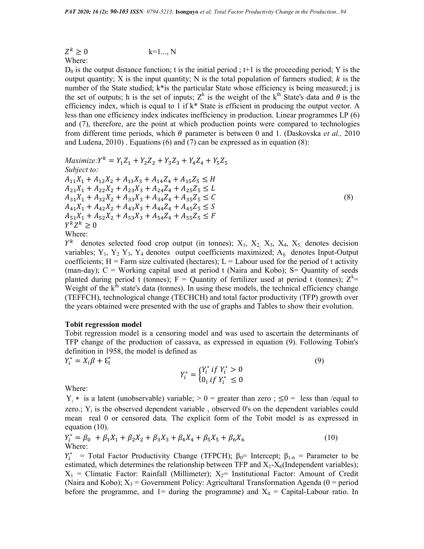$$
Z^k \geq 0 \qquad \qquad k=1...,N
$$

Where:

 $D_0$  is the output distance function; t is the initial period;  $t+1$  is the proceeding period; Y is the output quantity; X is the input quantity; N is the total population of farmers studied;  $k$  is the number of the State studied; k\*is the particular State whose efficiency is being measured; j is the set of outputs; h is the set of inputs;  $Z^k$  is the weight of the k<sup>th</sup> State's data and  $\theta$  is the efficiency index, which is equal to 1 if k\* State is efficient in producing the output vector. A less than one efficiency index indicates inefficiency in production. Linear programmes LP (6) and (7), therefore, are the point at which production points were compared to technologies from different time periods, which  $\theta$  parameter is between 0 and 1. (Daskovska *et al.*, 2010) and Ludena, 2010) . Equations (6) and (7) can be expressed as in equation (8):

$$
Maximize: Y^{k} = Y_{1}Z_{1} + Y_{2}Z_{2} + Y_{3}Z_{3} + Y_{4}Z_{4} + Y_{5}Z_{5}
$$
  
\nSubject to:  
\n
$$
A_{11}X_{1} + A_{12}X_{2} + A_{13}X_{3} + A_{14}Z_{4} + A_{15}Z_{5} \leq H
$$
  
\n
$$
A_{21}X_{1} + A_{22}X_{2} + A_{23}X_{3} + A_{24}Z_{4} + A_{25}Z_{5} \leq L
$$
  
\n
$$
A_{31}X_{1} + A_{32}X_{2} + A_{33}X_{3} + A_{34}Z_{4} + A_{35}Z_{5} \leq C
$$
  
\n
$$
A_{41}X_{1} + A_{42}X_{2} + A_{43}X_{3} + A_{44}Z_{4} + A_{45}Z_{5} \leq S
$$
  
\n
$$
A_{51}X_{1} + A_{52}X_{2} + A_{53}X_{3} + A_{54}Z_{4} + A_{55}Z_{5} \leq F
$$
  
\n
$$
Y^{k}Z^{k} \geq 0
$$
  
\nWhere:

Where:

 $\mathcal{Y}^k$  denotes selected food crop output (in tonnes);  $X_1$ ,  $X_2$ ,  $X_3$ ,  $X_4$ ,  $X_5$ , denotes decision variables;  $Y_1$ ,  $Y_2$   $Y_3$ ,  $Y_4$  denotes output coefficients maximized;  $A_{ij}$  denotes Input-Output coefficients;  $H =$  Farm size cultivated (hectares);  $L =$  Labour used for the period of t activity (man-day);  $C =$  Working capital used at period t (Naira and Kobo);  $S =$  Quantity of seeds planted during period t (tonnes); F = Quantity of fertilizer used at period t (tonnes);  $Z^k$  = Weight of the  $k<sup>th</sup>$  state's data (tonnes). In using these models, the technical efficiency change (TEFFCH), technological change (TECHCH) and total factor productivity (TFP) growth over the years obtained were presented with the use of graphs and Tables to show their evolution.

#### Tobit regression model

Tobit regression model is a censoring model and was used to ascertain the determinants of TFP change of the production of cassava, as expressed in equation (9). Following Tobin's definition in 1958, the model is defined as

 $Y_i^* = X_i \beta + \varepsilon_i^*$ 

$$
Y_i^* = \begin{cases} Y_i^* & if \ Y_i^* > 0 \\ 0_i & if \ Y_i^* \le 0 \end{cases} \tag{9}
$$

Where:

 $Y_i$ <sup>\*</sup> is a latent (unobservable) variable;  $> 0 =$  greater than zero;  $\leq 0 =$  less than /equal to zero.;  $Y_i$  is the observed dependent variable, observed 0's on the dependent variables could mean real 0 or censored data. The explicit form of the Tobit model is as expressed in equation (10).

$$
Y_i^* = \beta_0 + \beta_1 X_1 + \beta_2 X_2 + \beta_3 X_3 + \beta_4 X_4 + \beta_5 X_5 + \beta_6 X_6
$$
 (10)  
Where:

 $Y_i^*$  = Total Factor Productivity Change (TFPCH);  $\beta_0$ = Intercept;  $\beta_{1-6}$  = Parameter to be estimated, which determines the relationship between TFP and  $X_1 - X_6$ (Independent variables);  $X_1$  = Climatic Factor: Rainfall (Millimeter);  $X_2$  Institutional Factor: Amount of Credit (Naira and Kobo);  $X_3$  = Government Policy: Agricultural Transformation Agenda (0 = period before the programme, and  $1=$  during the programme) and  $X_4 =$  Capital-Labour ratio. In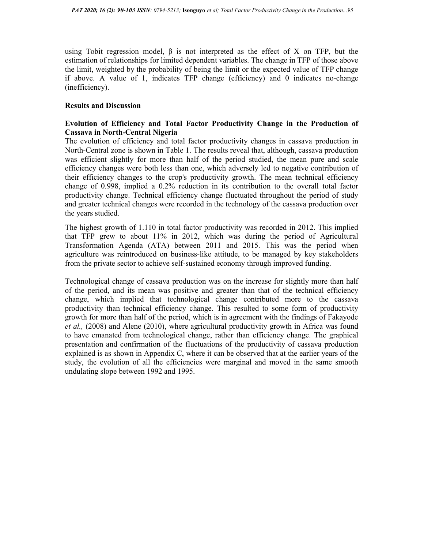using Tobit regression model,  $\beta$  is not interpreted as the effect of X on TFP, but the estimation of relationships for limited dependent variables. The change in TFP of those above the limit, weighted by the probability of being the limit or the expected value of TFP change if above. A value of 1, indicates TFP change (efficiency) and 0 indicates no-change (inefficiency).

### Results and Discussion

# Evolution of Efficiency and Total Factor Productivity Change in the Production of Cassava in North-Central Nigeria

The evolution of efficiency and total factor productivity changes in cassava production in North-Central zone is shown in Table 1. The results reveal that, although, cassava production was efficient slightly for more than half of the period studied, the mean pure and scale efficiency changes were both less than one, which adversely led to negative contribution of their efficiency changes to the crop's productivity growth. The mean technical efficiency change of 0.998, implied a 0.2% reduction in its contribution to the overall total factor productivity change. Technical efficiency change fluctuated throughout the period of study and greater technical changes were recorded in the technology of the cassava production over the years studied.

The highest growth of 1.110 in total factor productivity was recorded in 2012. This implied that TFP grew to about 11% in 2012, which was during the period of Agricultural Transformation Agenda (ATA) between 2011 and 2015. This was the period when agriculture was reintroduced on business-like attitude, to be managed by key stakeholders from the private sector to achieve self-sustained economy through improved funding.

Technological change of cassava production was on the increase for slightly more than half of the period, and its mean was positive and greater than that of the technical efficiency change, which implied that technological change contributed more to the cassava productivity than technical efficiency change. This resulted to some form of productivity growth for more than half of the period, which is in agreement with the findings of Fakayode et al., (2008) and Alene (2010), where agricultural productivity growth in Africa was found to have emanated from technological change, rather than efficiency change. The graphical presentation and confirmation of the fluctuations of the productivity of cassava production explained is as shown in Appendix C, where it can be observed that at the earlier years of the study, the evolution of all the efficiencies were marginal and moved in the same smooth undulating slope between 1992 and 1995.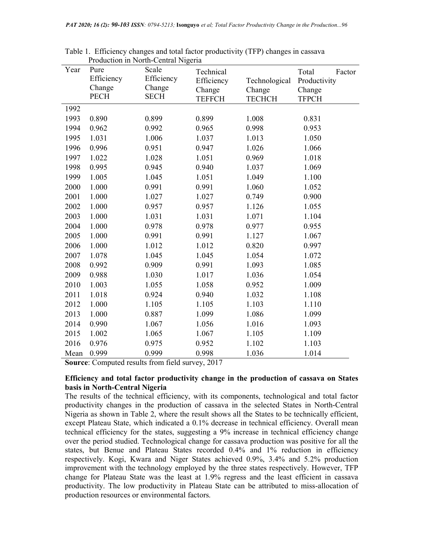| Year | Pure        | Scale       | Technical     |               | Total<br>Factor |
|------|-------------|-------------|---------------|---------------|-----------------|
|      | Efficiency  | Efficiency  | Efficiency    | Technological | Productivity    |
|      | Change      | Change      | Change        | Change        | Change          |
|      | <b>PECH</b> | <b>SECH</b> | <b>TEFFCH</b> | <b>TECHCH</b> | <b>TFPCH</b>    |
| 1992 |             |             |               |               |                 |
| 1993 | 0.890       | 0.899       | 0.899         | 1.008         | 0.831           |
| 1994 | 0.962       | 0.992       | 0.965         | 0.998         | 0.953           |
| 1995 | 1.031       | 1.006       | 1.037         | 1.013         | 1.050           |
| 1996 | 0.996       | 0.951       | 0.947         | 1.026         | 1.066           |
| 1997 | 1.022       | 1.028       | 1.051         | 0.969         | 1.018           |
| 1998 | 0.995       | 0.945       | 0.940         | 1.037         | 1.069           |
| 1999 | 1.005       | 1.045       | 1.051         | 1.049         | 1.100           |
| 2000 | 1.000       | 0.991       | 0.991         | 1.060         | 1.052           |
| 2001 | 1.000       | 1.027       | 1.027         | 0.749         | 0.900           |
| 2002 | 1.000       | 0.957       | 0.957         | 1.126         | 1.055           |
| 2003 | 1.000       | 1.031       | 1.031         | 1.071         | 1.104           |
| 2004 | 1.000       | 0.978       | 0.978         | 0.977         | 0.955           |
| 2005 | 1.000       | 0.991       | 0.991         | 1.127         | 1.067           |
| 2006 | 1.000       | 1.012       | 1.012         | 0.820         | 0.997           |
| 2007 | 1.078       | 1.045       | 1.045         | 1.054         | 1.072           |
| 2008 | 0.992       | 0.909       | 0.991         | 1.093         | 1.085           |
| 2009 | 0.988       | 1.030       | 1.017         | 1.036         | 1.054           |
| 2010 | 1.003       | 1.055       | 1.058         | 0.952         | 1.009           |
| 2011 | 1.018       | 0.924       | 0.940         | 1.032         | 1.108           |
| 2012 | 1.000       | 1.105       | 1.105         | 1.103         | 1.110           |
| 2013 | 1.000       | 0.887       | 1.099         | 1.086         | 1.099           |
| 2014 | 0.990       | 1.067       | 1.056         | 1.016         | 1.093           |
| 2015 | 1.002       | 1.065       | 1.067         | 1.105         | 1.109           |
| 2016 | 0.976       | 0.975       | 0.952         | 1.102         | 1.103           |
| Mean | 0.999       | 0.999       | 0.998         | 1.036         | 1.014           |

Table 1. Efficiency changes and total factor productivity (TFP) changes in cassava Production in North-Central Nigeria

Source: Computed results from field survey, 2017

## Efficiency and total factor productivity change in the production of cassava on States basis in North-Central Nigeria

The results of the technical efficiency, with its components, technological and total factor productivity changes in the production of cassava in the selected States in North-Central Nigeria as shown in Table 2, where the result shows all the States to be technically efficient, except Plateau State, which indicated a 0.1% decrease in technical efficiency. Overall mean technical efficiency for the states, suggesting a 9% increase in technical efficiency change over the period studied. Technological change for cassava production was positive for all the states, but Benue and Plateau States recorded 0.4% and 1% reduction in efficiency respectively. Kogi, Kwara and Niger States achieved 0.9%, 3.4% and 5.2% production improvement with the technology employed by the three states respectively. However, TFP change for Plateau State was the least at 1.9% regress and the least efficient in cassava productivity. The low productivity in Plateau State can be attributed to miss-allocation of production resources or environmental factors.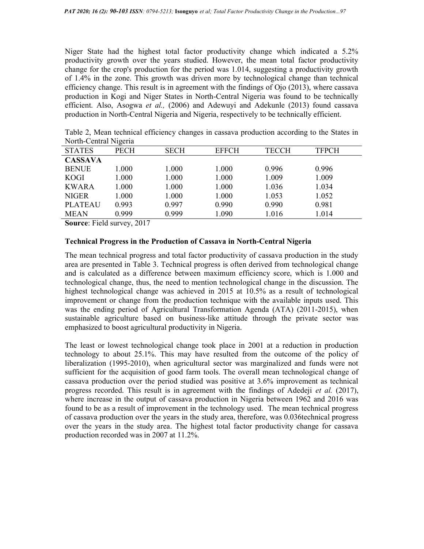Niger State had the highest total factor productivity change which indicated a 5.2% productivity growth over the years studied. However, the mean total factor productivity change for the crop's production for the period was 1.014, suggesting a productivity growth of 1.4% in the zone. This growth was driven more by technological change than technical efficiency change. This result is in agreement with the findings of Ojo (2013), where cassava production in Kogi and Niger States in North-Central Nigeria was found to be technically efficient. Also, Asogwa et al.,  $(2006)$  and Adewuyi and Adekunle  $(2013)$  found cassava production in North-Central Nigeria and Nigeria, respectively to be technically efficient.

| $1$ volui-Communivigoriu |             |             |              |              |              |  |
|--------------------------|-------------|-------------|--------------|--------------|--------------|--|
| <b>STATES</b>            | <b>PECH</b> | <b>SECH</b> | <b>EFFCH</b> | <b>TECCH</b> | <b>TFPCH</b> |  |
| <b>CASSAVA</b>           |             |             |              |              |              |  |
| <b>BENUE</b>             | 1.000       | 1.000       | 1.000        | 0.996        | 0.996        |  |
| <b>KOGI</b>              | 1.000       | 1.000       | 1.000        | 1.009        | 1.009        |  |
| <b>KWARA</b>             | 1.000       | 1.000       | 1.000        | 1.036        | 1.034        |  |
| <b>NIGER</b>             | 1.000       | 1.000       | 1.000        | 1.053        | 1.052        |  |
| <b>PLATEAU</b>           | 0.993       | 0.997       | 0.990        | 0.990        | 0.981        |  |
| <b>MEAN</b>              | 0.999       | 0.999       | 1.090        | 1.016        | 1.014        |  |

Table 2, Mean technical efficiency changes in cassava production according to the States in North-Central Nigeria

Source: Field survey, 2017

### Technical Progress in the Production of Cassava in North-Central Nigeria

The mean technical progress and total factor productivity of cassava production in the study area are presented in Table 3. Technical progress is often derived from technological change and is calculated as a difference between maximum efficiency score, which is 1.000 and technological change, thus, the need to mention technological change in the discussion. The highest technological change was achieved in 2015 at 10.5% as a result of technological improvement or change from the production technique with the available inputs used. This was the ending period of Agricultural Transformation Agenda (ATA) (2011-2015), when sustainable agriculture based on business-like attitude through the private sector was emphasized to boost agricultural productivity in Nigeria.

The least or lowest technological change took place in 2001 at a reduction in production technology to about 25.1%. This may have resulted from the outcome of the policy of liberalization (1995-2010), when agricultural sector was marginalized and funds were not sufficient for the acquisition of good farm tools. The overall mean technological change of cassava production over the period studied was positive at 3.6% improvement as technical progress recorded. This result is in agreement with the findings of Adedeji *et al.* (2017), where increase in the output of cassava production in Nigeria between 1962 and 2016 was found to be as a result of improvement in the technology used. The mean technical progress of cassava production over the years in the study area, therefore, was 0.036technical progress over the years in the study area. The highest total factor productivity change for cassava production recorded was in 2007 at 11.2%.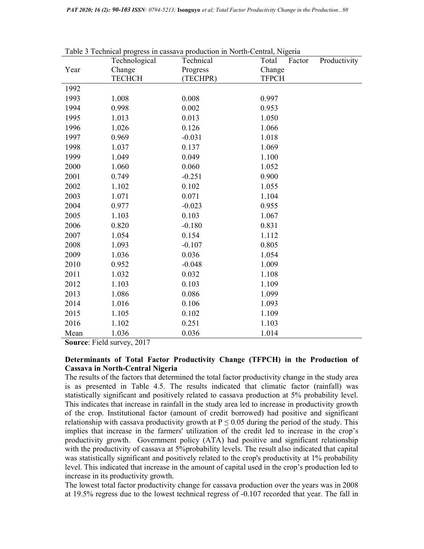|      | Technological | raoic 9 Technical progress in cassava production in Twith-Central, Ivigena<br>Technical | Total<br>Productivity<br>Factor |
|------|---------------|-----------------------------------------------------------------------------------------|---------------------------------|
| Year | Change        | Progress                                                                                | Change                          |
|      | <b>TECHCH</b> | (TECHPR)                                                                                | <b>TFPCH</b>                    |
| 1992 |               |                                                                                         |                                 |
| 1993 | 1.008         | 0.008                                                                                   | 0.997                           |
| 1994 | 0.998         | 0.002                                                                                   | 0.953                           |
| 1995 | 1.013         | 0.013                                                                                   | 1.050                           |
| 1996 | 1.026         | 0.126                                                                                   | 1.066                           |
| 1997 | 0.969         | $-0.031$                                                                                | 1.018                           |
| 1998 | 1.037         | 0.137                                                                                   | 1.069                           |
| 1999 | 1.049         | 0.049                                                                                   | 1.100                           |
| 2000 | 1.060         | 0.060                                                                                   | 1.052                           |
| 2001 | 0.749         | $-0.251$                                                                                | 0.900                           |
| 2002 | 1.102         | 0.102                                                                                   | 1.055                           |
| 2003 | 1.071         | 0.071                                                                                   | 1.104                           |
| 2004 | 0.977         | $-0.023$                                                                                | 0.955                           |
| 2005 | 1.103         | 0.103                                                                                   | 1.067                           |
| 2006 | 0.820         | $-0.180$                                                                                | 0.831                           |
| 2007 | 1.054         | 0.154                                                                                   | 1.112                           |
| 2008 | 1.093         | $-0.107$                                                                                | 0.805                           |
| 2009 | 1.036         | 0.036                                                                                   | 1.054                           |
| 2010 | 0.952         | $-0.048$                                                                                | 1.009                           |
| 2011 | 1.032         | 0.032                                                                                   | 1.108                           |
| 2012 | 1.103         | 0.103                                                                                   | 1.109                           |
| 2013 | 1.086         | 0.086                                                                                   | 1.099                           |
| 2014 | 1.016         | 0.106                                                                                   | 1.093                           |
| 2015 | 1.105         | 0.102                                                                                   | 1.109                           |
| 2016 | 1.102         | 0.251                                                                                   | 1.103                           |
| Mean | 1.036         | 0.036                                                                                   | 1.014                           |

Table 3 Technical progress in cassava production in North-Central, Nigeria

Source: Field survey, 2017

# Determinants of Total Factor Productivity Change (TFPCH) in the Production of Cassava in North-Central Nigeria

The results of the factors that determined the total factor productivity change in the study area is as presented in Table 4.5. The results indicated that climatic factor (rainfall) was statistically significant and positively related to cassava production at 5% probability level. This indicates that increase in rainfall in the study area led to increase in productivity growth of the crop. Institutional factor (amount of credit borrowed) had positive and significant relationship with cassava productivity growth at  $P \le 0.05$  during the period of the study. This implies that increase in the farmers' utilization of the credit led to increase in the crop's productivity growth. Government policy (ATA) had positive and significant relationship with the productivity of cassava at 5% probability levels. The result also indicated that capital was statistically significant and positively related to the crop's productivity at 1% probability level. This indicated that increase in the amount of capital used in the crop's production led to increase in its productivity growth.

The lowest total factor productivity change for cassava production over the years was in 2008 at 19.5% regress due to the lowest technical regress of -0.107 recorded that year. The fall in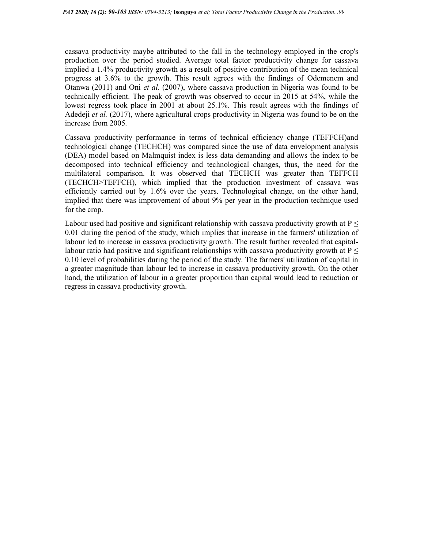cassava productivity maybe attributed to the fall in the technology employed in the crop's production over the period studied. Average total factor productivity change for cassava implied a 1.4% productivity growth as a result of positive contribution of the mean technical progress at 3.6% to the growth. This result agrees with the findings of Odemenem and Otanwa (2011) and Oni et al. (2007), where cassava production in Nigeria was found to be technically efficient. The peak of growth was observed to occur in 2015 at 54%, while the lowest regress took place in 2001 at about 25.1%. This result agrees with the findings of Adedeji et al. (2017), where agricultural crops productivity in Nigeria was found to be on the increase from 2005.

Cassava productivity performance in terms of technical efficiency change (TEFFCH)and technological change (TECHCH) was compared since the use of data envelopment analysis (DEA) model based on Malmquist index is less data demanding and allows the index to be decomposed into technical efficiency and technological changes, thus, the need for the multilateral comparison. It was observed that TECHCH was greater than TEFFCH (TECHCH˃TEFFCH), which implied that the production investment of cassava was efficiently carried out by 1.6% over the years. Technological change, on the other hand, implied that there was improvement of about 9% per year in the production technique used for the crop.

Labour used had positive and significant relationship with cassava productivity growth at  $P \leq$ 0.01 during the period of the study, which implies that increase in the farmers' utilization of labour led to increase in cassava productivity growth. The result further revealed that capitallabour ratio had positive and significant relationships with cassava productivity growth at  $P \leq$ 0.10 level of probabilities during the period of the study. The farmers' utilization of capital in a greater magnitude than labour led to increase in cassava productivity growth. On the other hand, the utilization of labour in a greater proportion than capital would lead to reduction or regress in cassava productivity growth.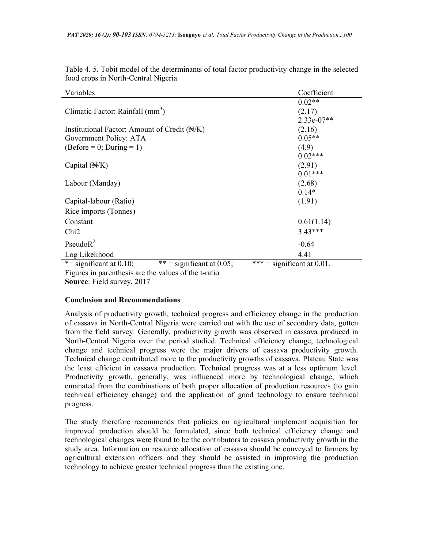| Variables                                                                                                                                              | Coefficient                   |
|--------------------------------------------------------------------------------------------------------------------------------------------------------|-------------------------------|
|                                                                                                                                                        | $0.02**$                      |
| Climatic Factor: Rainfall (mm <sup>3</sup> )                                                                                                           | (2.17)                        |
|                                                                                                                                                        | $2.33e-07**$                  |
| Institutional Factor: Amount of Credit $(\forall K)$                                                                                                   | (2.16)                        |
| Government Policy: ATA                                                                                                                                 | $0.05**$                      |
| $(Before = 0; During = 1)$                                                                                                                             | (4.9)                         |
|                                                                                                                                                        | $0.02***$                     |
| Capital $(\forall K)$                                                                                                                                  | (2.91)                        |
|                                                                                                                                                        | $0.01***$                     |
| Labour (Manday)                                                                                                                                        | (2.68)                        |
|                                                                                                                                                        | $0.14*$                       |
| Capital-labour (Ratio)                                                                                                                                 | (1.91)                        |
| Rice imports (Tonnes)                                                                                                                                  |                               |
| Constant                                                                                                                                               | 0.61(1.14)                    |
| Ch <sub>i</sub> 2                                                                                                                                      | $3.43***$                     |
| Pseudo $R^2$                                                                                                                                           | $-0.64$                       |
| Log Likelihood                                                                                                                                         | 4.41                          |
| ** = significant at 0.05;<br>*= significant at $0.10$ ;<br>$\mathbf{A}$ and $\mathbf{A}$ and $\mathbf{A}$ and $\mathbf{A}$<br>$\overline{\phantom{a}}$ | *** = significant at $0.01$ . |

Table 4. 5. Tobit model of the determinants of total factor productivity change in the selected food crops in North-Central Nigeria

Figures in parenthesis are the values of the t-ratio

Source: Field survey, 2017

## Conclusion and Recommendations

Analysis of productivity growth, technical progress and efficiency change in the production of cassava in North-Central Nigeria were carried out with the use of secondary data, gotten from the field survey. Generally, productivity growth was observed in cassava produced in North-Central Nigeria over the period studied. Technical efficiency change, technological change and technical progress were the major drivers of cassava productivity growth. Technical change contributed more to the productivity growths of cassava. Plateau State was the least efficient in cassava production. Technical progress was at a less optimum level. Productivity growth, generally, was influenced more by technological change, which emanated from the combinations of both proper allocation of production resources (to gain technical efficiency change) and the application of good technology to ensure technical progress.

The study therefore recommends that policies on agricultural implement acquisition for improved production should be formulated, since both technical efficiency change and technological changes were found to be the contributors to cassava productivity growth in the study area. Information on resource allocation of cassava should be conveyed to farmers by agricultural extension officers and they should be assisted in improving the production technology to achieve greater technical progress than the existing one.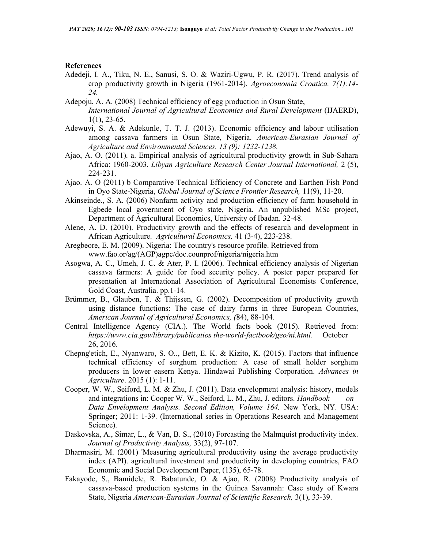#### References

- Adedeji, I. A., Tiku, N. E., Sanusi, S. O. & Waziri-Ugwu, P. R. (2017). Trend analysis of crop productivity growth in Nigeria (1961-2014). Agroeconomia Croatica. 7(1):14- 24.
- Adepoju, A. A. (2008) Technical efficiency of egg production in Osun State, International Journal of Agricultural Economics and Rural Development (IJAERD),  $1(1)$ , 23-65.
- Adewuyi, S. A. & Adekunle, T. T. J. (2013). Economic efficiency and labour utilisation among cassava farmers in Osun State, Nigeria. American-Eurasian Journal of Agriculture and Environmental Sciences. 13 (9): 1232-1238.
- Ajao, A. O. (2011). a. Empirical analysis of agricultural productivity growth in Sub-Sahara Africa: 1960-2003. Libyan Agriculture Research Center Journal International, 2 (5), 224-231.
- Ajao. A. O (2011) b Comparative Technical Efficiency of Concrete and Earthen Fish Pond in Oyo State-Nigeria, Global Journal of Science Frontier Research, 11(9), 11-20.
- Akinseinde., S. A. (2006) Nonfarm activity and production efficiency of farm household in Egbede local government of Oyo state, Nigeria. An unpublished MSc project, Department of Agricultural Economics, University of Ibadan. 32-48.
- Alene, A. D. (2010). Productivity growth and the effects of research and development in African Agriculture. Agricultural Economics, 41 (3-4), 223-238.
- Aregbeore, E. M. (2009). Nigeria: The country's resource profile. Retrieved from www.fao.or/ag/(AGP)agpc/doc.counprof/nigeria/nigeria.htm
- Asogwa, A. C., Umeh, J. C. & Ater, P. I. (2006). Technical efficiency analysis of Nigerian cassava farmers: A guide for food security policy. A poster paper prepared for presentation at International Association of Agricultural Economists Conference, Gold Coast, Australia. pp.1-14.
- Brümmer, B., Glauben, T. & Thijssen, G. (2002). Decomposition of productivity growth using distance functions: The case of dairy farms in three European Countries, American Journal of Agricultural Economics, (84), 88-104.
- Central Intelligence Agency (CIA.). The World facts book (2015). Retrieved from: https://www.cia.gov/library/publicatios the-world-factbook/geo/ni.html. October 26, 2016.
- Chepng'etich, E., Nyanwaro, S. O.., Bett, E. K. & Kizito, K. (2015). Factors that influence technical efficiency of sorghum production: A case of small holder sorghum producers in lower easern Kenya. Hindawai Publishing Corporation. Advances in Agriculture. 2015 (1): 1-11.
- Cooper, W. W., Seiford, L. M. & Zhu, J. (2011). Data envelopment analysis: history, models and integrations in: Cooper W. W., Seiford, L. M., Zhu, J. editors. *Handbook* on Data Envelopment Analysis. Second Edition, Volume 164. New York, NY. USA: Springer; 2011: 1-39. (International series in Operations Research and Management Science).
- Daskovska, A., Simar, L., & Van, B. S., (2010) Forcasting the Malmquist productivity index. Journal of Productivity Analysis, 33(2), 97-107.
- Dharmasiri, M. (2001) 'Measuring agricultural productivity using the average productivity index (API). agricultural investment and productivity in developing countries, FAO Economic and Social Development Paper, (135), 65-78.
- Fakayode, S., Bamidele, R. Babatunde, O. & Ajao, R. (2008) Productivity analysis of cassava-based production systems in the Guinea Savannah: Case study of Kwara State, Nigeria American-Eurasian Journal of Scientific Research, 3(1), 33-39.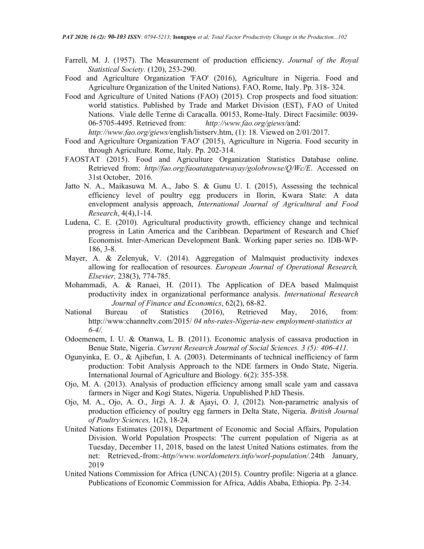- Farrell, M. J. (1957). The Measurement of production efficiency. Journal of the Royal Statistical Society. (120), 253-290.
- Food and Agriculture Organization 'FAO' (2016), Agriculture in Nigeria. Food and Agriculture Organization of the United Nations). FAO, Rome, Italy. Pp. 318- 324.
- Food and Agriculture of United Nations (FAO) (2015). Crop prospects and food situation: world statistics. Published by Trade and Market Division (EST), FAO of United Nations. Viale delle Terme di Caracalla. 00153, Rome-Italy. Direct Facsimile: 0039- 06-5705-4495. Retrieved from: http://www.fao.org/giews/and: http://www.fao.org/giews/english/listserv.htm, (1): 18. Viewed on 2/01/2017.
- Food and Agriculture Organization 'FAO' (2015), Agriculture in Nigeria. Food security in through Agriculture. Rome, Italy. Pp. 202-314.
- FAOSTAT (2015). Food and Agriculture Organization Statistics Database online. Retrieved from: http//fao.org/faoatatagatewayay/golobrowse/Q/Wc/E. Accessed on 31st October, 2016.
- Jatto N. A., Maikasuwa M. A., Jabo S. & Gunu U. I. (2015), Assessing the technical efficiency level of poultry egg producers in Ilorin, Kwara State: A data envelopment analysis approach, International Journal of Agricultural and Food Research, 4(4),1-14.
- Ludena, C. E. (2010). Agricultural productivity growth, efficiency change and technical progress in Latin America and the Caribbean. Department of Research and Chief Economist. Inter-American Development Bank. Working paper series no. IDB-WP- 186, 3-8.
- Mayer, A. & Zelenyuk, V. (2014). Aggregation of Malmquist productivity indexes allowing for reallocation of resources. European Journal of Operational Research, Elsevier, 238(3), 774-785.
- Mohammadi, A. & Ranaei, H. (2011). The Application of DEA based Malmquist productivity index in organizational performance analysis. International Research Journal of Finance and Economics, 62(2), 68-82.
- National Bureau of Statistics (2016), Retrieved May, 2016, from: http://www:channeltv.com/2015/ 04 nbs-rates-Nigeria-new employment-statistics at  $6 - 4/$ .
- Odoemenem, I. U. & Otanwa, L. B. (2011). Economic analysis of cassava production in Benue State, Nigeria. Current Research Journal of Social Sciences. 3 (5): 406-411.
- Ogunyinka, E. O., & Ajibefun, I. A. (2003). Determinants of technical inefficiency of farm production: Tobit Analysis Approach to the NDE farmers in Ondo State, Nigeria. International Journal of Agriculture and Biology. 6(2): 355-358.
- Ojo, M. A. (2013). Analysis of production efficiency among small scale yam and cassava farmers in Niger and Kogi States, Nigeria. Unpublished P.hD Thesis.
- Ojo, M. A., Ojo, A. O., Jirgi A. J. & Ajayi, O. J, (2012). Non-parametric analysis of production efficiency of poultry egg farmers in Delta State, Nigeria. British Journal of Poultry Sciences, 1(2), 18-24.
- United Nations Estimates (2018), Department of Economic and Social Affairs, Population Division. World Population Prospects: 'The current population of Nigeria as at Tuesday, December 11, 2018, based on the latest United Nations estimates. from the net: Retrieved,-from:-http//www.worldometers.info/worl-population/.24th January, 2019
- United Nations Commission for Africa (UNCA) (2015). Country profile: Nigeria at a glance. Publications of Economic Commission for Africa, Addis Ababa, Ethiopia. Pp. 2-34.